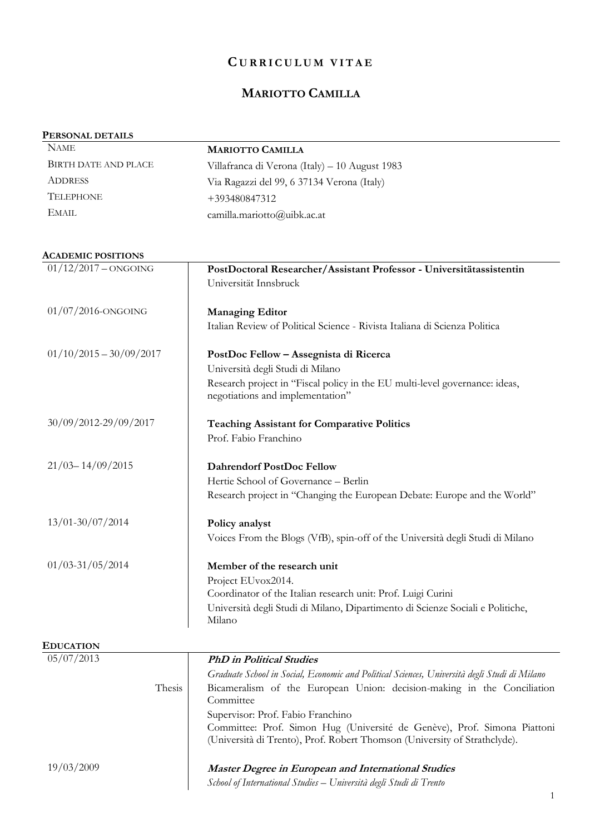## **C U R R I C U L U M V I T A E**

# **MARIOTTO CAMILLA**

#### **PERSONAL DETAILS**

| <b>NAME</b>          | <b>MARIOTTO CAMILLA</b>                        |
|----------------------|------------------------------------------------|
| BIRTH DATE AND PLACE | Villafranca di Verona (Italy) – 10 August 1983 |
| <b>ADDRESS</b>       | Via Ragazzi del 99, 6 37134 Verona (Italy)     |
| <b>TELEPHONE</b>     | +393480847312                                  |
| EMAIL.               | camilla.mariotto@uibk.ac.at                    |

#### **ACADEMIC POSITIONS**

| $01/12/2017 - ONGOING$    | PostDoctoral Researcher/Assistant Professor - Universitätassistentin                         |
|---------------------------|----------------------------------------------------------------------------------------------|
|                           | Universität Innsbruck                                                                        |
|                           |                                                                                              |
| $01/07/2016$ -ONGOING     | <b>Managing Editor</b>                                                                       |
|                           | Italian Review of Political Science - Rivista Italiana di Scienza Politica                   |
| $01/10/2015 - 30/09/2017$ | PostDoc Fellow - Assegnista di Ricerca                                                       |
|                           | Università degli Studi di Milano                                                             |
|                           | Research project in "Fiscal policy in the EU multi-level governance: ideas,                  |
|                           | negotiations and implementation"                                                             |
| 30/09/2012-29/09/2017     | <b>Teaching Assistant for Comparative Politics</b>                                           |
|                           | Prof. Fabio Franchino                                                                        |
|                           |                                                                                              |
| $21/03 - 14/09/2015$      | <b>Dahrendorf PostDoc Fellow</b>                                                             |
|                           | Hertie School of Governance - Berlin                                                         |
|                           | Research project in "Changing the European Debate: Europe and the World"                     |
| 13/01-30/07/2014          | Policy analyst                                                                               |
|                           | Voices From the Blogs (VfB), spin-off of the Università degli Studi di Milano                |
| $01/03 - 31/05/2014$      | Member of the research unit                                                                  |
|                           | Project EUvox2014.                                                                           |
|                           | Coordinator of the Italian research unit: Prof. Luigi Curini                                 |
|                           | Università degli Studi di Milano, Dipartimento di Scienze Sociali e Politiche,               |
|                           | Milano                                                                                       |
| <b>EDUCATION</b>          |                                                                                              |
| 05/07/2013                | <b>PhD</b> in Political Studies                                                              |
|                           | Graduate School in Social, Economic and Political Sciences, Università degli Studi di Milano |
| Thesis                    | Bicameralism of the European Union: decision-making in the Conciliation<br>Committee         |
|                           | Supervisor: Prof. Fabio Franchino                                                            |
|                           | Committee: Prof. Simon Hug (Université de Genève), Prof. Simona Piattoni                     |
|                           |                                                                                              |

*School of International Studies – Università degli Studi di Trento*

(Università di Trento), Prof. Robert Thomson (University of Strathclyde).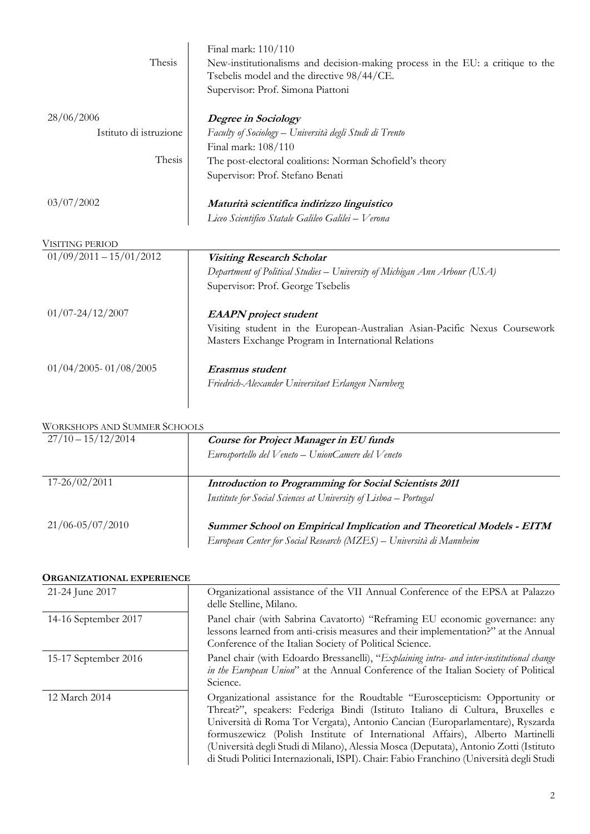| Thesis                 | Final mark: 110/110<br>New-institutionalisms and decision-making process in the EU: a critique to the<br>Tsebelis model and the directive 98/44/CE.<br>Supervisor: Prof. Simona Piattoni |
|------------------------|------------------------------------------------------------------------------------------------------------------------------------------------------------------------------------------|
| 28/06/2006             | Degree in Sociology                                                                                                                                                                      |
| Istituto di istruzione | Faculty of Sociology – Università degli Studi di Trento                                                                                                                                  |
|                        | Final mark: 108/110                                                                                                                                                                      |
| Thesis                 | The post-electoral coalitions: Norman Schofield's theory                                                                                                                                 |
|                        | Supervisor: Prof. Stefano Benati                                                                                                                                                         |
| 03/07/2002             | Maturità scientifica indirizzo linguistico                                                                                                                                               |
|                        | Liceo Scientifico Statale Galileo Galilei – Verona                                                                                                                                       |
| VISITING PERIOD        |                                                                                                                                                                                          |

| V IOI LIINU TEIMUD        |                                                                                                                                   |
|---------------------------|-----------------------------------------------------------------------------------------------------------------------------------|
| $01/09/2011 - 15/01/2012$ | <b>Visiting Research Scholar</b>                                                                                                  |
|                           | Department of Political Studies – University of Michigan Ann Arbour (USA)                                                         |
|                           | Supervisor: Prof. George Tsebelis                                                                                                 |
| $01/07 - 24/12/2007$      | <b>EAAPN</b> project student                                                                                                      |
|                           | Visiting student in the European-Australian Asian-Pacific Nexus Coursework<br>Masters Exchange Program in International Relations |
| $01/04/2005 - 01/08/2005$ | Erasmus student                                                                                                                   |
|                           | Friedrich-Alexander Universitaet Erlangen Nurnberg                                                                                |
|                           |                                                                                                                                   |
|                           |                                                                                                                                   |

### WORKSHOPS AND SUMMER SCHOOLS

| $27/10 - 15/12/2014$ | <b>Course for Project Manager in EU funds</b><br>Eurosportello del Veneto - UnionCamere del Veneto                                                 |
|----------------------|----------------------------------------------------------------------------------------------------------------------------------------------------|
| $17 - 26/02/2011$    | Introduction to Programming for Social Scientists 2011<br>Institute for Social Sciences at University of Lisboa – Portugal                         |
| $21/06 - 05/07/2010$ | <b>Summer School on Empirical Implication and Theoretical Models - EITM</b><br>European Center for Social Research (MZES) – Università di Mannheim |

#### **ORGANIZATIONAL EXPERIENCE**

| 21-24 June 2017      | Organizational assistance of the VII Annual Conference of the EPSA at Palazzo<br>delle Stelline, Milano.                                                                                                                                                                                                                                                                                                                                                                                                          |
|----------------------|-------------------------------------------------------------------------------------------------------------------------------------------------------------------------------------------------------------------------------------------------------------------------------------------------------------------------------------------------------------------------------------------------------------------------------------------------------------------------------------------------------------------|
| 14-16 September 2017 | Panel chair (with Sabrina Cavatorto) "Reframing EU economic governance: any<br>lessons learned from anti-crisis measures and their implementation?" at the Annual<br>Conference of the Italian Society of Political Science.                                                                                                                                                                                                                                                                                      |
| 15-17 September 2016 | Panel chair (with Edoardo Bressanelli), "Explaining intra- and inter-institutional change<br>in the European Union" at the Annual Conference of the Italian Society of Political<br>Science.                                                                                                                                                                                                                                                                                                                      |
| 12 March 2014        | Organizational assistance for the Roudtable "Euroscepticism: Opportunity or<br>Threat?", speakers: Federiga Bindi (Istituto Italiano di Cultura, Bruxelles e<br>Università di Roma Tor Vergata), Antonio Cancian (Europarlamentare), Ryszarda<br>formuszewicz (Polish Institute of International Affairs), Alberto Martinelli<br>(Università degli Studi di Milano), Alessia Mosca (Deputata), Antonio Zotti (Istituto<br>di Studi Politici Internazionali, ISPI). Chair: Fabio Franchino (Università degli Studi |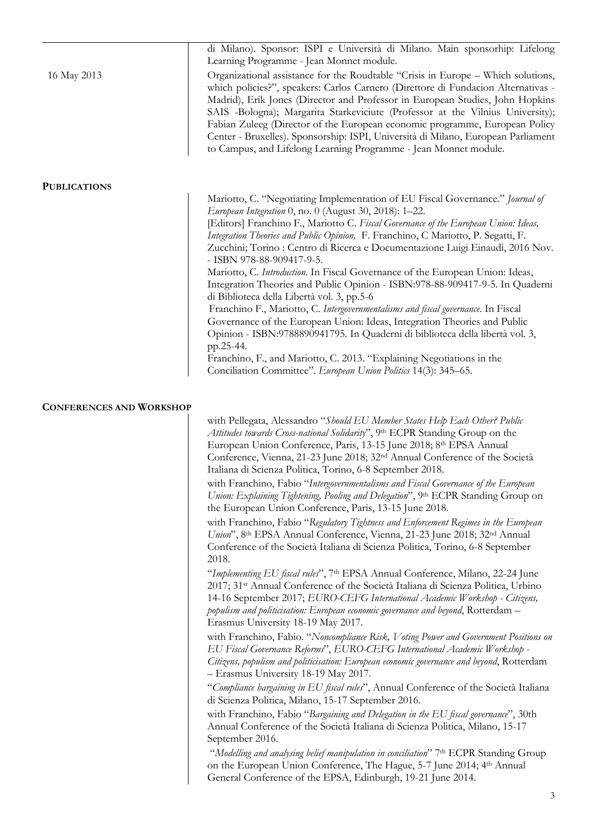|                                 | di Milano). Sponsor: ISPI e Università di Milano. Main sponsorhip: Lifelong<br>Learning Programme - Jean Monnet module.                                                                                                                                                                                                                                                                                                                                                                                                                                                                                                                                                                                                                                                                                                                                                                                                                                                                                                                                       |
|---------------------------------|---------------------------------------------------------------------------------------------------------------------------------------------------------------------------------------------------------------------------------------------------------------------------------------------------------------------------------------------------------------------------------------------------------------------------------------------------------------------------------------------------------------------------------------------------------------------------------------------------------------------------------------------------------------------------------------------------------------------------------------------------------------------------------------------------------------------------------------------------------------------------------------------------------------------------------------------------------------------------------------------------------------------------------------------------------------|
| 16 May 2013                     | Organizational assistance for the Roudtable "Crisis in Europe - Which solutions,<br>which policies?", speakers: Carlos Carnero (Direttore di Fundacion Alternativas -<br>Madrid), Erik Jones (Director and Professor in European Studies, John Hopkins<br>SAIS -Bologna); Margarita Starkeviciute (Professor at the Vilnius University);<br>Fabian Zuleeg (Director of the European economic programme, European Policy<br>Center - Bruxelles). Sponsorship: ISPI, Università di Milano, European Parliament<br>to Campus, and Lifelong Learning Programme - Jean Monnet module.                                                                                                                                                                                                                                                                                                                                                                                                                                                                              |
| <b>PUBLICATIONS</b>             |                                                                                                                                                                                                                                                                                                                                                                                                                                                                                                                                                                                                                                                                                                                                                                                                                                                                                                                                                                                                                                                               |
|                                 | Mariotto, C. "Negotiating Implementation of EU Fiscal Governance." Journal of<br>European Integration 0, no. 0 (August 30, 2018): 1-22.<br>[Editors] Franchino F., Mariotto C. Fiscal Governance of the European Union: Ideas,<br>Integration Theories and Public Opinion, F. Franchino, C Mariotto, P. Segatti, F.<br>Zucchini; Torino : Centro di Ricerca e Documentazione Luigi Einaudi, 2016 Nov.<br>- ISBN 978-88-909417-9-5.<br>Mariotto, C. Introduction. In Fiscal Governance of the European Union: Ideas,<br>Integration Theories and Public Opinion - ISBN:978-88-909417-9-5. In Quaderni<br>di Biblioteca della Libertà vol. 3, pp.5-6<br>Franchino F., Mariotto, C. Intergovernmentalisms and fiscal governance. In Fiscal<br>Governance of the European Union: Ideas, Integration Theories and Public<br>Opinion - ISBN:9788890941795. In Quaderni di biblioteca della libertà vol. 3,<br>pp.25-44.<br>Franchino, F., and Mariotto, C. 2013. "Explaining Negotiations in the<br>Conciliation Committee". European Union Politics 14(3): 345–65. |
| <b>CONFERENCES AND WORKSHOP</b> |                                                                                                                                                                                                                                                                                                                                                                                                                                                                                                                                                                                                                                                                                                                                                                                                                                                                                                                                                                                                                                                               |
|                                 | with Pellegata, Alessandro "Should EU Member States Help Each Other? Public<br>Attitudes towards Cross-national Solidarity", 9th ECPR Standing Group on the<br>European Union Conference, Paris, 13-15 June 2018; 8th EPSA Annual<br>Conference, Vienna, 21-23 June 2018; 32 <sup>nd</sup> Annual Conference of the Società<br>Italiana di Scienza Politica, Torino, 6-8 September 2018.                                                                                                                                                                                                                                                                                                                                                                                                                                                                                                                                                                                                                                                                      |
|                                 | with Franchino, Fabio "Intergovernmentalisms and Fiscal Governance of the European<br>Union: Explaining Tightening, Pooling and Delegation", 9th ECPR Standing Group on<br>the European Union Conference, Paris, 13-15 June 2018.                                                                                                                                                                                                                                                                                                                                                                                                                                                                                                                                                                                                                                                                                                                                                                                                                             |
|                                 | with Franchino, Fabio "Regulatory Tightness and Enforcement Regimes in the European<br>Union", 8th EPSA Annual Conference, Vienna, 21-23 June 2018; 32nd Annual<br>Conference of the Società Italiana di Scienza Politica, Torino, 6-8 September<br>2018.                                                                                                                                                                                                                                                                                                                                                                                                                                                                                                                                                                                                                                                                                                                                                                                                     |
|                                 | "Implementing EU fiscal rules", 7th EPSA Annual Conference, Milano, 22-24 June<br>2017; 31 <sup>st</sup> Annual Conference of the Società Italiana di Scienza Politica, Urbino<br>14-16 September 2017; EURO-CEFG International Academic Workshop - Citizens,<br>populism and politicisation: European economic governance and beyond, Rotterdam -<br>Erasmus University 18-19 May 2017.                                                                                                                                                                                                                                                                                                                                                                                                                                                                                                                                                                                                                                                                      |
|                                 | with Franchino, Fabio. "Noncompliance Risk, Voting Power and Government Positions on<br>EU Fiscal Governance Reforms", EURO-CEFG International Academic Workshop -<br>Citizens, populism and politicisation: European economic governance and beyond, Rotterdam<br>- Erasmus University 18-19 May 2017.                                                                                                                                                                                                                                                                                                                                                                                                                                                                                                                                                                                                                                                                                                                                                       |
|                                 | "Compliance bargaining in EU fiscal rules", Annual Conference of the Società Italiana<br>di Scienza Politica, Milano, 15-17 September 2016.                                                                                                                                                                                                                                                                                                                                                                                                                                                                                                                                                                                                                                                                                                                                                                                                                                                                                                                   |
|                                 | with Franchino, Fabio "Bargaining and Delegation in the EU fiscal governance", 30th<br>Annual Conference of the Società Italiana di Scienza Politica, Milano, 15-17<br>September 2016.                                                                                                                                                                                                                                                                                                                                                                                                                                                                                                                                                                                                                                                                                                                                                                                                                                                                        |
|                                 | "Modelling and analysing belief manipulation in conciliation" 7 <sup>th</sup> ECPR Standing Group<br>on the European Union Conference, The Hague, 5-7 June 2014; 4th Annual<br>General Conference of the EPSA, Edinburgh, 19-21 June 2014.                                                                                                                                                                                                                                                                                                                                                                                                                                                                                                                                                                                                                                                                                                                                                                                                                    |
|                                 | 3                                                                                                                                                                                                                                                                                                                                                                                                                                                                                                                                                                                                                                                                                                                                                                                                                                                                                                                                                                                                                                                             |